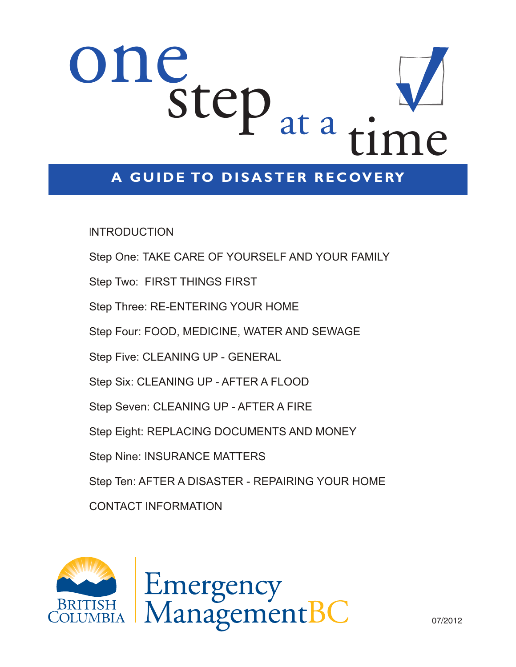# one step at a

## **A GUIDE TO DISASTER RECOVERY**

**INTRODUCTION** 

Step One: TAKE CARE OF YOURSELF AND YOUR FAMILY Step Two: FIRST THINGS FIRST Step Three: RE-ENTERING YOUR HOME Step Four: FOOD, MEDICINE, WATER AND SEWAGE Step Five: CLEANING UP - GENERAL Step Six: CLEANING UP - AFTER A FLOOD Step Seven: CLEANING UP - AFTER A FIRE Step Eight: REPLACING DOCUMENTS AND MONEY Step Nine: INSURANCE MATTERS Step Ten: AFTER A DISASTER - REPAIRING YOUR HOME CONTACT INFORMATION

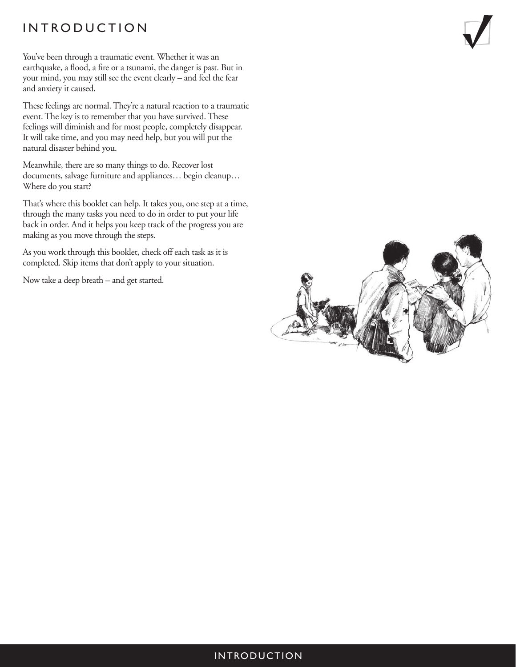## INTRODUCTION

You've been through a traumatic event. Whether it was an earthquake, a flood, a fire or a tsunami, the danger is past. But in your mind, you may still see the event clearly – and feel the fear and anxiety it caused.

These feelings are normal. They're a natural reaction to a traumatic event. The key is to remember that you have survived. These feelings will diminish and for most people, completely disappear. It will take time, and you may need help, but you will put the natural disaster behind you.

Meanwhile, there are so many things to do. Recover lost documents, salvage furniture and appliances… begin cleanup… Where do you start?

That's where this booklet can help. It takes you, one step at a time, through the many tasks you need to do in order to put your life back in order. And it helps you keep track of the progress you are making as you move through the steps.

As you work through this booklet, check off each task as it is completed. Skip items that don't apply to your situation.

Now take a deep breath – and get started.



#### INTRODUCTION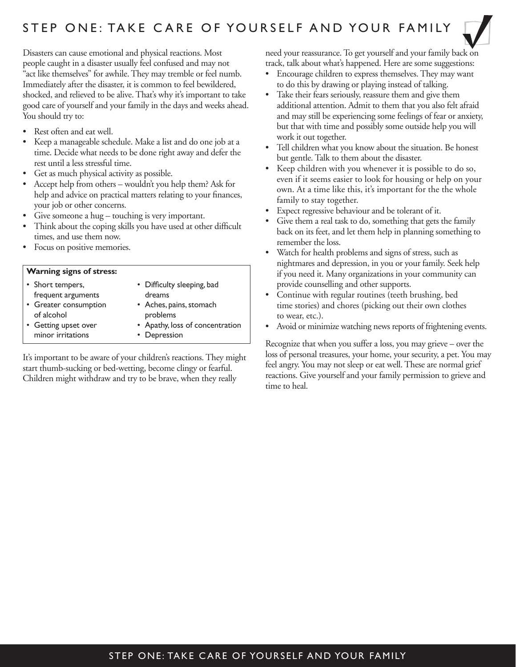

Disasters can cause emotional and physical reactions. Most people caught in a disaster usually feel confused and may not "act like themselves" for awhile. They may tremble or feel numb. Immediately after the disaster, it is common to feel bewildered, shocked, and relieved to be alive. That's why it's important to take good care of yourself and your family in the days and weeks ahead. You should try to:

- Rest often and eat well.
- Keep a manageable schedule. Make a list and do one job at a time. Decide what needs to be done right away and defer the rest until a less stressful time.
- Get as much physical activity as possible.
- Accept help from others wouldn't you help them? Ask for help and advice on practical matters relating to your finances, your job or other concerns.
- Give someone a hug touching is very important.
- Think about the coping skills you have used at other difficult times, and use them now.
- Focus on positive memories.

#### **Warning signs of stress:**

| • Short tempers,                          | • Difficulty sleeping, bad                      |
|-------------------------------------------|-------------------------------------------------|
| frequent arguments                        | dreams                                          |
| • Greater consumption<br>of alcohol       | • Aches, pains, stomach<br>problems             |
| • Getting upset over<br>minor irritations | • Apathy, loss of concentration<br>• Depression |

It's important to be aware of your children's reactions. They might start thumb-sucking or bed-wetting, become clingy or fearful. Children might withdraw and try to be brave, when they really

need your reassurance. To get yourself and your family back on track, talk about what's happened. Here are some suggestions:

- Encourage children to express themselves. They may want to do this by drawing or playing instead of talking.
- Take their fears seriously, reassure them and give them additional attention. Admit to them that you also felt afraid and may still be experiencing some feelings of fear or anxiety, but that with time and possibly some outside help you will work it out together.
- Tell children what you know about the situation. Be honest but gentle. Talk to them about the disaster.
- Keep children with you whenever it is possible to do so, even if it seems easier to look for housing or help on your own. At a time like this, it's important for the the whole family to stay together.
- Expect regressive behaviour and be tolerant of it.
- Give them a real task to do, something that gets the family back on its feet, and let them help in planning something to remember the loss.
- Watch for health problems and signs of stress, such as nightmares and depression, in you or your family. Seek help if you need it. Many organizations in your community can provide counselling and other supports.
- Continue with regular routines (teeth brushing, bed time stories) and chores (picking out their own clothes to wear, etc.).
- Avoid or minimize watching news reports of frightening events.

Recognize that when you suffer a loss, you may grieve – over the loss of personal treasures, your home, your security, a pet. You may feel angry. You may not sleep or eat well. These are normal grief reactions. Give yourself and your family permission to grieve and time to heal.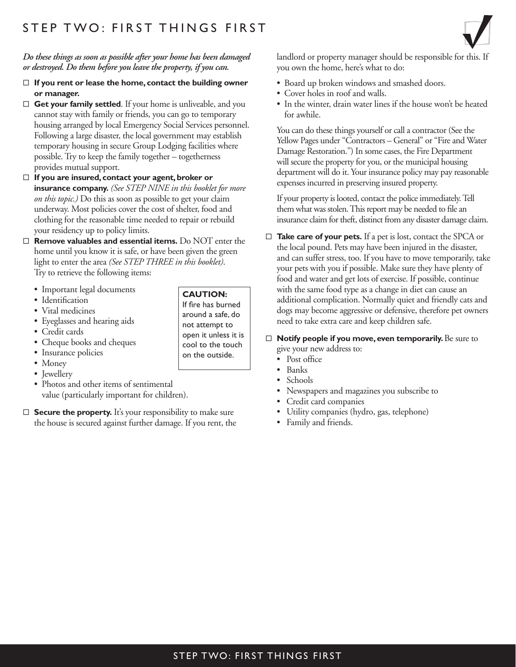#### *Do these things as soon as possible after your home has been damaged or destroyed. Do them before you leave the property, if you can.*

- □ If you rent or lease the home, contact the building owner **or manager.**
- $\Box$  **Get your family settled**. If your home is unliveable, and you cannot stay with family or friends, you can go to temporary housing arranged by local Emergency Social Services personnel. Following a large disaster, the local government may establish temporary housing in secure Group Lodging facilities where possible. Try to keep the family together – togetherness provides mutual support.
- □ If you are insured, contact your agent, broker or **insurance company.** *(See STEP NINE in this booklet for more on this topic.)* Do this as soon as possible to get your claim underway. Most policies cover the cost of shelter, food and clothing for the reasonable time needed to repair or rebuild your residency up to policy limits.
- □ **Remove valuables and essential items.** Do NOT enter the home until you know it is safe, or have been given the green light to enter the area *(See STEP THREE in this booklet)*. Try to retrieve the following items:
	- Important legal documents
	- Identification
	- Vital medicines
	- Eyeglasses and hearing aids
	- Credit cards
	- Cheque books and cheques
	- Insurance policies
	- Money
	- Jewellery
	- Photos and other items of sentimental value (particularly important for children).
- $\Box$  **Secure the property.** It's your responsibility to make sure the house is secured against further damage. If you rent, the

landlord or property manager should be responsible for this. If you own the home, here's what to do:

- Board up broken windows and smashed doors.
- Cover holes in roof and walls.
- In the winter, drain water lines if the house won't be heated for awhile.

 You can do these things yourself or call a contractor (See the Yellow Pages under "Contractors – General" or "Fire and Water Damage Restoration.") In some cases, the Fire Department will secure the property for you, or the municipal housing department will do it. Your insurance policy may pay reasonable expenses incurred in preserving insured property.

 If your property is looted, contact the police immediately. Tell them what was stolen. This report may be needed to file an insurance claim for theft, distinct from any disaster damage claim.

- □ Take care of your pets. If a pet is lost, contact the SPCA or the local pound. Pets may have been injured in the disaster, and can suffer stress, too. If you have to move temporarily, take your pets with you if possible. Make sure they have plenty of food and water and get lots of exercise. If possible, continue with the same food type as a change in diet can cause an additional complication. Normally quiet and friendly cats and dogs may become aggressive or defensive, therefore pet owners need to take extra care and keep children safe.
- □ **Notify people if you move, even temporarily.** Be sure to give your new address to:
	- Post office
	- Banks
	- Schools
	- Newspapers and magazines you subscribe to
	- Credit card companies
	- Utility companies (hydro, gas, telephone)
	- Family and friends.

**CAUTION:** If fire has burned around a safe, do not attempt to open it unless it is cool to the touch on the outside.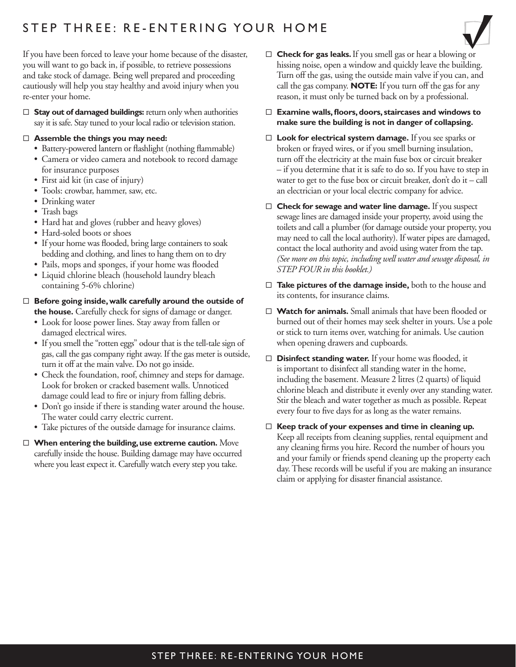## STEP THREE: RE-ENTERING YOUR HOME

If you have been forced to leave your home because of the disaster, you will want to go back in, if possible, to retrieve possessions and take stock of damage. Being well prepared and proceeding cautiously will help you stay healthy and avoid injury when you re-enter your home.

□ Stay out of damaged buildings: return only when authorities say it is safe. Stay tuned to your local radio or television station.

#### ® **Assemble the things you may need:**

- Battery-powered lantern or flashlight (nothing flammable)
- Camera or video camera and notebook to record damage for insurance purposes
- First aid kit (in case of injury)
- Tools: crowbar, hammer, saw, etc.
- Drinking water
- Trash bags
- Hard hat and gloves (rubber and heavy gloves)
- Hard-soled boots or shoes
- If your home was flooded, bring large containers to soak bedding and clothing, and lines to hang them on to dry
- Pails, mops and sponges, if your home was flooded
- Liquid chlorine bleach (household laundry bleach containing 5-6% chlorine)

#### □ **Before going inside, walk carefully around the outside of the house.** Carefully check for signs of damage or danger.

- Look for loose power lines. Stay away from fallen or damaged electrical wires.
- If you smell the "rotten eggs" odour that is the tell-tale sign of gas, call the gas company right away. If the gas meter is outside, turn it off at the main valve. Do not go inside.
- Check the foundation, roof, chimney and steps for damage. Look for broken or cracked basement walls. Unnoticed damage could lead to fire or injury from falling debris.
- Don't go inside if there is standing water around the house. The water could carry electric current.
- Take pictures of the outside damage for insurance claims.
- □ When entering the building, use extreme caution. Move carefully inside the house. Building damage may have occurred where you least expect it. Carefully watch every step you take.
- □ **Check for gas leaks.** If you smell gas or hear a blowing or hissing noise, open a window and quickly leave the building. Turn off the gas, using the outside main valve if you can, and call the gas company. **NOTE:** If you turn off the gas for any reason, it must only be turned back on by a professional.
- □ **Examine walls, floors, doors, staircases and windows to make sure the building is not in danger of collapsing.**
- ® **Look for electrical system damage.** If you see sparks or broken or frayed wires, or if you smell burning insulation, turn off the electricity at the main fuse box or circuit breaker – if you determine that it is safe to do so. If you have to step in water to get to the fuse box or circuit breaker, don't do it – call an electrician or your local electric company for advice.
- □ **Check for sewage and water line damage.** If you suspect sewage lines are damaged inside your property, avoid using the toilets and call a plumber (for damage outside your property, you may need to call the local authority). If water pipes are damaged, contact the local authority and avoid using water from the tap. *(See more on this topic, including well water and sewage disposal, in STEP FOUR in this booklet.)*
- □ Take pictures of the damage inside, both to the house and its contents, for insurance claims.
- □ **Watch for animals.** Small animals that have been flooded or burned out of their homes may seek shelter in yours. Use a pole or stick to turn items over, watching for animals. Use caution when opening drawers and cupboards.
- □ **Disinfect standing water.** If your home was flooded, it is important to disinfect all standing water in the home, including the basement. Measure 2 litres (2 quarts) of liquid chlorine bleach and distribute it evenly over any standing water. Stir the bleach and water together as much as possible. Repeat every four to five days for as long as the water remains.
- □ Keep track of your expenses and time in cleaning up. Keep all receipts from cleaning supplies, rental equipment and any cleaning firms you hire. Record the number of hours you and your family or friends spend cleaning up the property each day. These records will be useful if you are making an insurance claim or applying for disaster financial assistance.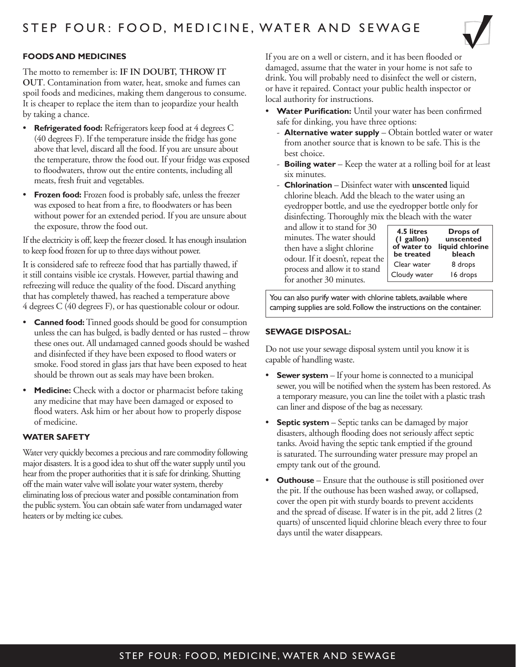

#### **FOODS AND MEDICINES**

The motto to remember is: **IF IN DOUBT, THROW IT OUT**. Contamination from water, heat, smoke and fumes can spoil foods and medicines, making them dangerous to consume. It is cheaper to replace the item than to jeopardize your health by taking a chance.

- **Refrigerated food:** Refrigerators keep food at 4 degrees C (40 degrees F). If the temperature inside the fridge has gone above that level, discard all the food. If you are unsure about the temperature, throw the food out. If your fridge was exposed to floodwaters, throw out the entire contents, including all meats, fresh fruit and vegetables.
- **Frozen food:** Frozen food is probably safe, unless the freezer was exposed to heat from a fire, to floodwaters or has been without power for an extended period. If you are unsure about the exposure, throw the food out.

If the electricity is off, keep the freezer closed. It has enough insulation to keep food frozen for up to three days without power.

It is considered safe to refreeze food that has partially thawed, if it still contains visible ice crystals. However, partial thawing and refreezing will reduce the quality of the food. Discard anything that has completely thawed, has reached a temperature above 4 degrees C (40 degrees F), or has questionable colour or odour.

- **Canned food:** Tinned goods should be good for consumption unless the can has bulged, is badly dented or has rusted – throw these ones out. All undamaged canned goods should be washed and disinfected if they have been exposed to flood waters or smoke. Food stored in glass jars that have been exposed to heat should be thrown out as seals may have been broken.
- **Medicine:** Check with a doctor or pharmacist before taking any medicine that may have been damaged or exposed to flood waters. Ask him or her about how to properly dispose of medicine.

#### **WATER SAFETY**

Water very quickly becomes a precious and rare commodity following major disasters. It is a good idea to shut off the water supply until you hear from the proper authorities that it is safe for drinking. Shutting off the main water valve will isolate your water system, thereby eliminating loss of precious water and possible contamination from the public system. You can obtain safe water from undamaged water heaters or by melting ice cubes.

If you are on a well or cistern, and it has been flooded or damaged, assume that the water in your home is not safe to drink. You will probably need to disinfect the well or cistern, or have it repaired. Contact your public health inspector or local authority for instructions.

- **Water Purification:** Until your water has been confirmed safe for dinking, you have three options:
	- **Alternative water supply** Obtain bottled water or water from another source that is known to be safe. This is the best choice.
	- **Boiling water** Keep the water at a rolling boil for at least six minutes.
	- **Chlorination** Disinfect water with **unscented** liquid chlorine bleach. Add the bleach to the water using an eyedropper bottle, and use the eyedropper bottle only for disinfecting. Thoroughly mix the bleach with the water

and allow it to stand for 30 minutes. The water should then have a slight chlorine odour. If it doesn't, repeat the process and allow it to stand for another 30 minutes.

| 4.5 litres<br>(I gallon)<br>of water to<br>be treated | Drops of<br>unscented<br>liquid chlorine<br>bleach |
|-------------------------------------------------------|----------------------------------------------------|
| Clear water                                           | 8 drops                                            |
| Cloudy water                                          | 16 drops                                           |

You can also purify water with chlorine tablets, available where camping supplies are sold. Follow the instructions on the container.

#### **SEWAGE DISPOSAL:**

Do not use your sewage disposal system until you know it is capable of handling waste.

- **Sewer system** If your home is connected to a municipal sewer, you will be notified when the system has been restored. As a temporary measure, you can line the toilet with a plastic trash can liner and dispose of the bag as necessary.
- **Septic system** Septic tanks can be damaged by major disasters, although flooding does not seriously affect septic tanks. Avoid having the septic tank emptied if the ground is saturated. The surrounding water pressure may propel an empty tank out of the ground.
- **Outhouse** Ensure that the outhouse is still positioned over the pit. If the outhouse has been washed away, or collapsed, cover the open pit with sturdy boards to prevent accidents and the spread of disease. If water is in the pit, add 2 litres (2 quarts) of unscented liquid chlorine bleach every three to four days until the water disappears.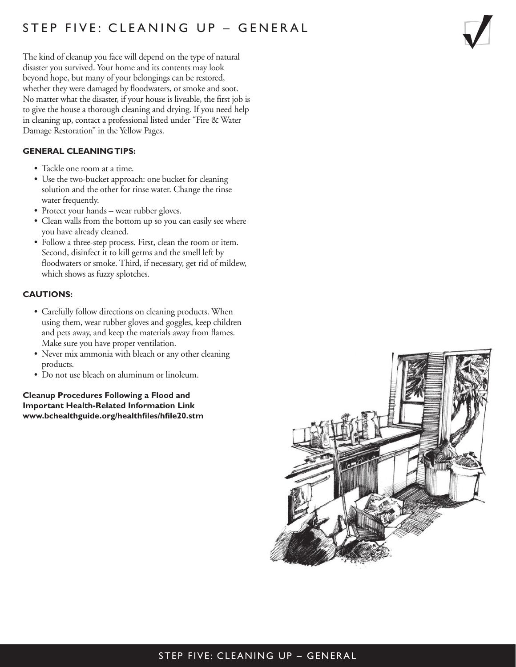## STEP FIVE: CLEANING UP – GENERAL

The kind of cleanup you face will depend on the type of natural disaster you survived. Your home and its contents may look beyond hope, but many of your belongings can be restored, whether they were damaged by floodwaters, or smoke and soot. No matter what the disaster, if your house is liveable, the first job is to give the house a thorough cleaning and drying. If you need help in cleaning up, contact a professional listed under "Fire & Water Damage Restoration" in the Yellow Pages.

#### **GENERAL CLEANING TIPS:**

- Tackle one room at a time.
- Use the two-bucket approach: one bucket for cleaning solution and the other for rinse water. Change the rinse water frequently.
- Protect your hands wear rubber gloves.
- Clean walls from the bottom up so you can easily see where you have already cleaned.
- Follow a three-step process. First, clean the room or item. Second, disinfect it to kill germs and the smell left by floodwaters or smoke. Third, if necessary, get rid of mildew, which shows as fuzzy splotches.

#### **CAUTIONS:**

- Carefully follow directions on cleaning products. When using them, wear rubber gloves and goggles, keep children and pets away, and keep the materials away from flames. Make sure you have proper ventilation.
- Never mix ammonia with bleach or any other cleaning products.
- Do not use bleach on aluminum or linoleum.

**Cleanup Procedures Following a Flood and Important Health-Related Information Link www.bchealthguide.org/healthfiles/hfile20.stm**



#### STEP FIVE: CLEANING UP – GENERAL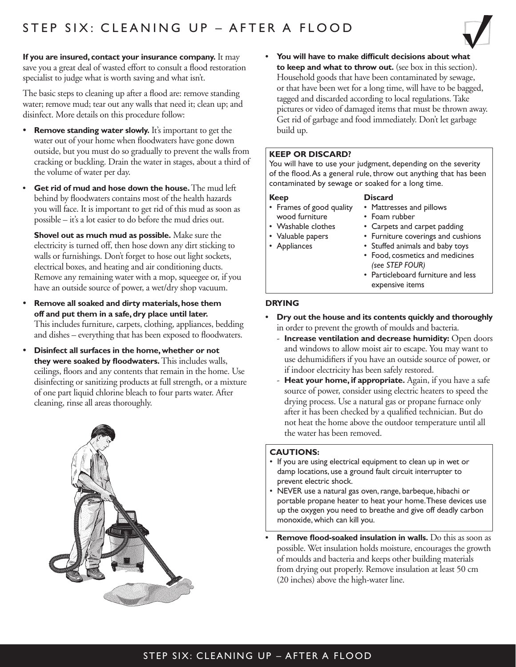

**If you are insured, contact your insurance company.** It may save you a great deal of wasted effort to consult a flood restoration specialist to judge what is worth saving and what isn't.

The basic steps to cleaning up after a flood are: remove standing water; remove mud; tear out any walls that need it; clean up; and disinfect. More details on this procedure follow:

- **Remove standing water slowly.** It's important to get the water out of your home when floodwaters have gone down outside, but you must do so gradually to prevent the walls from cracking or buckling. Drain the water in stages, about a third of the volume of water per day.
- **Get rid of mud and hose down the house.** The mud left behind by floodwaters contains most of the health hazards you will face. It is important to get rid of this mud as soon as possible – it's a lot easier to do before the mud dries out.

**Shovel out as much mud as possible.** Make sure the electricity is turned off, then hose down any dirt sticking to walls or furnishings. Don't forget to hose out light sockets, electrical boxes, and heating and air conditioning ducts. Remove any remaining water with a mop, squeegee or, if you have an outside source of power, a wet/dry shop vacuum.

- **Remove all soaked and dirty materials, hose them off and put them in a safe, dry place until later.** This includes furniture, carpets, clothing, appliances, bedding and dishes – everything that has been exposed to floodwaters.
- **Disinfect all surfaces in the home, whether or not they were soaked by floodwaters.** This includes walls, ceilings, floors and any contents that remain in the home. Use disinfecting or sanitizing products at full strength, or a mixture of one part liquid chlorine bleach to four parts water. After cleaning, rinse all areas thoroughly.



**• You will have to make difficult decisions about what to keep and what to throw out.** (see box in this section). Household goods that have been contaminated by sewage, or that have been wet for a long time, will have to be bagged, tagged and discarded according to local regulations. Take pictures or video of damaged items that must be thrown away. Get rid of garbage and food immediately. Don't let garbage build up.

#### **KEEP OR DISCARD?**

You will have to use your judgment, depending on the severity of the flood. As a general rule, throw out anything that has been contaminated by sewage or soaked for a long time.

**Discard**

#### **Keep**

- Frames of good quality wood furniture
- Washable clothes
- Valuable papers
- Appliances
- Foam rubber

• Mattresses and pillows

- Carpets and carpet padding • Furniture coverings and cushions
- Stuffed animals and baby toys
- Food, cosmetics and medicines *(see STEP FOUR)*
- Particleboard furniture and less expensive items

#### **DRYING**

- **Dry out the house and its contents quickly and thoroughly** in order to prevent the growth of moulds and bacteria.
	- **Increase ventilation and decrease humidity:** Open doors and windows to allow moist air to escape. You may want to use dehumidifiers if you have an outside source of power, or if indoor electricity has been safely restored.
	- Heat your home, if appropriate. Again, if you have a safe source of power, consider using electric heaters to speed the drying process. Use a natural gas or propane furnace only after it has been checked by a qualified technician. But do not heat the home above the outdoor temperature until all the water has been removed.

#### **CAUTIONS:**

- If you are using electrical equipment to clean up in wet or damp locations, use a ground fault circuit interrupter to prevent electric shock.
- NEVER use a natural gas oven, range, barbeque, hibachi or portable propane heater to heat your home. These devices use up the oxygen you need to breathe and give off deadly carbon monoxide, which can kill you.
- **Remove flood-soaked insulation in walls.** Do this as soon as possible. Wet insulation holds moisture, encourages the growth of moulds and bacteria and keeps other building materials from drying out properly. Remove insulation at least 50 cm (20 inches) above the high-water line.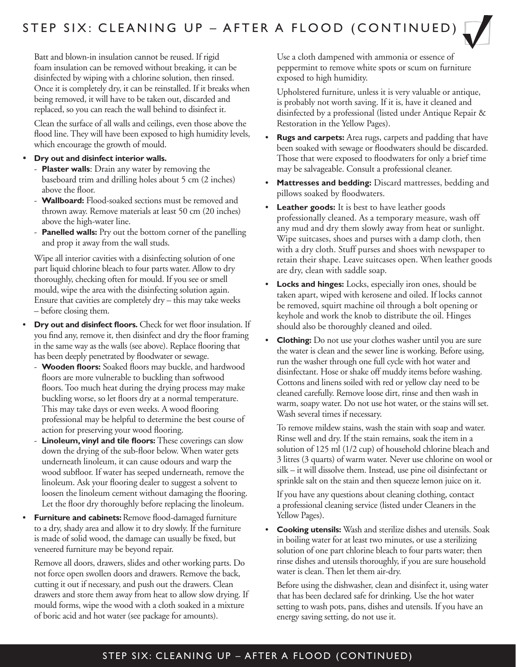Batt and blown-in insulation cannot be reused. If rigid foam insulation can be removed without breaking, it can be disinfected by wiping with a chlorine solution, then rinsed. Once it is completely dry, it can be reinstalled. If it breaks when being removed, it will have to be taken out, discarded and replaced, so you can reach the wall behind to disinfect it.

 Clean the surface of all walls and ceilings, even those above the flood line. They will have been exposed to high humidity levels, which encourage the growth of mould.

- **Dry out and disinfect interior walls.**
	- **Plaster walls**: Drain any water by removing the baseboard trim and drilling holes about 5 cm (2 inches) above the floor.
	- **Wallboard:** Flood-soaked sections must be removed and thrown away. Remove materials at least 50 cm (20 inches) above the high-water line.
	- **Panelled walls:** Pry out the bottom corner of the panelling and prop it away from the wall studs.

 Wipe all interior cavities with a disinfecting solution of one part liquid chlorine bleach to four parts water. Allow to dry thoroughly, checking often for mould. If you see or smell mould, wipe the area with the disinfecting solution again. Ensure that cavities are completely dry – this may take weeks – before closing them.

- **Dry out and disinfect floors.** Check for wet floor insulation. If you find any, remove it, then disinfect and dry the floor framing in the same way as the walls (see above). Replace flooring that has been deeply penetrated by floodwater or sewage.
	- **Wooden floors:** Soaked floors may buckle, and hardwood floors are more vulnerable to buckling than softwood floors. Too much heat during the drying process may make buckling worse, so let floors dry at a normal temperature. This may take days or even weeks. A wood flooring professional may be helpful to determine the best course of action for preserving your wood flooring.
	- **Linoleum, vinyl and tile floors:** These coverings can slow down the drying of the sub-floor below. When water gets underneath linoleum, it can cause odours and warp the wood subfloor. If water has seeped underneath, remove the linoleum. Ask your flooring dealer to suggest a solvent to loosen the linoleum cement without damaging the flooring. Let the floor dry thoroughly before replacing the linoleum.
- **Furniture and cabinets:** Remove flood-damaged furniture to a dry, shady area and allow it to dry slowly. If the furniture is made of solid wood, the damage can usually be fixed, but veneered furniture may be beyond repair.

 Remove all doors, drawers, slides and other working parts. Do not force open swollen doors and drawers. Remove the back, cutting it out if necessary, and push out the drawers. Clean drawers and store them away from heat to allow slow drying. If mould forms, wipe the wood with a cloth soaked in a mixture of boric acid and hot water (see package for amounts).

 Use a cloth dampened with ammonia or essence of peppermint to remove white spots or scum on furniture exposed to high humidity.

 Upholstered furniture, unless it is very valuable or antique, is probably not worth saving. If it is, have it cleaned and disinfected by a professional (listed under Antique Repair & Restoration in the Yellow Pages).

- **Rugs and carpets:** Area rugs, carpets and padding that have been soaked with sewage or floodwaters should be discarded. Those that were exposed to floodwaters for only a brief time may be salvageable. Consult a professional cleaner.
- **Mattresses and bedding:** Discard mattresses, bedding and pillows soaked by floodwaters.
- **Leather goods:** It is best to have leather goods professionally cleaned. As a temporary measure, wash off any mud and dry them slowly away from heat or sunlight. Wipe suitcases, shoes and purses with a damp cloth, then with a dry cloth. Stuff purses and shoes with newspaper to retain their shape. Leave suitcases open. When leather goods are dry, clean with saddle soap.
- **Locks and hinges:** Locks, especially iron ones, should be taken apart, wiped with kerosene and oiled. If locks cannot be removed, squirt machine oil through a bolt opening or keyhole and work the knob to distribute the oil. Hinges should also be thoroughly cleaned and oiled.
- **Clothing:** Do not use your clothes washer until you are sure the water is clean and the sewer line is working. Before using, run the washer through one full cycle with hot water and disinfectant. Hose or shake off muddy items before washing. Cottons and linens soiled with red or yellow clay need to be cleaned carefully. Remove loose dirt, rinse and then wash in warm, soapy water. Do not use hot water, or the stains will set. Wash several times if necessary.

 To remove mildew stains, wash the stain with soap and water. Rinse well and dry. If the stain remains, soak the item in a solution of 125 ml (1/2 cup) of household chlorine bleach and 3 litres (3 quarts) of warm water. Never use chlorine on wool or silk – it will dissolve them. Instead, use pine oil disinfectant or sprinkle salt on the stain and then squeeze lemon juice on it.

 If you have any questions about cleaning clothing, contact a professional cleaning service (listed under Cleaners in the Yellow Pages).

**• Cooking utensils:** Wash and sterilize dishes and utensils. Soak in boiling water for at least two minutes, or use a sterilizing solution of one part chlorine bleach to four parts water; then rinse dishes and utensils thoroughly, if you are sure household water is clean. Then let them air-dry.

 Before using the dishwasher, clean and disinfect it, using water that has been declared safe for drinking. Use the hot water setting to wash pots, pans, dishes and utensils. If you have an energy saving setting, do not use it.

### STEP SIX: CLEANING UP – AFTER A FLOOD (CONTINUED)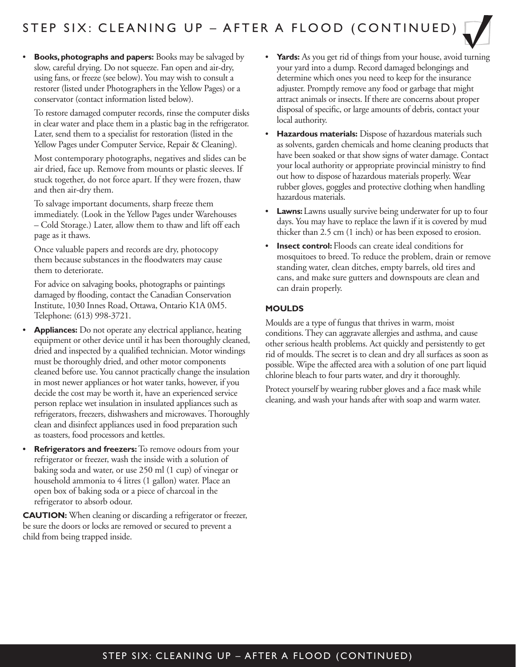**• Books, photographs and papers:** Books may be salvaged by slow, careful drying. Do not squeeze. Fan open and air-dry, using fans, or freeze (see below). You may wish to consult a restorer (listed under Photographers in the Yellow Pages) or a conservator (contact information listed below).

 To restore damaged computer records, rinse the computer disks in clear water and place them in a plastic bag in the refrigerator. Later, send them to a specialist for restoration (listed in the Yellow Pages under Computer Service, Repair & Cleaning).

 Most contemporary photographs, negatives and slides can be air dried, face up. Remove from mounts or plastic sleeves. If stuck together, do not force apart. If they were frozen, thaw and then air-dry them.

 To salvage important documents, sharp freeze them immediately. (Look in the Yellow Pages under Warehouses – Cold Storage.) Later, allow them to thaw and lift off each page as it thaws.

 Once valuable papers and records are dry, photocopy them because substances in the floodwaters may cause them to deteriorate.

 For advice on salvaging books, photographs or paintings damaged by flooding, contact the Canadian Conservation Institute, 1030 Innes Road, Ottawa, Ontario K1A 0M5. Telephone: (613) 998-3721.

- **Appliances:** Do not operate any electrical appliance, heating equipment or other device until it has been thoroughly cleaned, dried and inspected by a qualified technician. Motor windings must be thoroughly dried, and other motor components cleaned before use. You cannot practically change the insulation in most newer appliances or hot water tanks, however, if you decide the cost may be worth it, have an experienced service person replace wet insulation in insulated appliances such as refrigerators, freezers, dishwashers and microwaves. Thoroughly clean and disinfect appliances used in food preparation such as toasters, food processors and kettles.
- **Refrigerators and freezers:** To remove odours from your refrigerator or freezer, wash the inside with a solution of baking soda and water, or use 250 ml (1 cup) of vinegar or household ammonia to 4 litres (1 gallon) water. Place an open box of baking soda or a piece of charcoal in the refrigerator to absorb odour.

**CAUTION:** When cleaning or discarding a refrigerator or freezer, be sure the doors or locks are removed or secured to prevent a child from being trapped inside.

- **Yards:** As you get rid of things from your house, avoid turning your yard into a dump. Record damaged belongings and determine which ones you need to keep for the insurance adjuster. Promptly remove any food or garbage that might attract animals or insects. If there are concerns about proper disposal of specific, or large amounts of debris, contact your local authority.
- **Hazardous materials:** Dispose of hazardous materials such as solvents, garden chemicals and home cleaning products that have been soaked or that show signs of water damage. Contact your local authority or appropriate provincial ministry to find out how to dispose of hazardous materials properly. Wear rubber gloves, goggles and protective clothing when handling hazardous materials.
- **Lawns:** Lawns usually survive being underwater for up to four days. You may have to replace the lawn if it is covered by mud thicker than 2.5 cm (1 inch) or has been exposed to erosion.
- **Insect control:** Floods can create ideal conditions for mosquitoes to breed. To reduce the problem, drain or remove standing water, clean ditches, empty barrels, old tires and cans, and make sure gutters and downspouts are clean and can drain properly.

#### **MOULDS**

Moulds are a type of fungus that thrives in warm, moist conditions. They can aggravate allergies and asthma, and cause other serious health problems. Act quickly and persistently to get rid of moulds. The secret is to clean and dry all surfaces as soon as possible. Wipe the affected area with a solution of one part liquid chlorine bleach to four parts water, and dry it thoroughly.

Protect yourself by wearing rubber gloves and a face mask while cleaning, and wash your hands after with soap and warm water.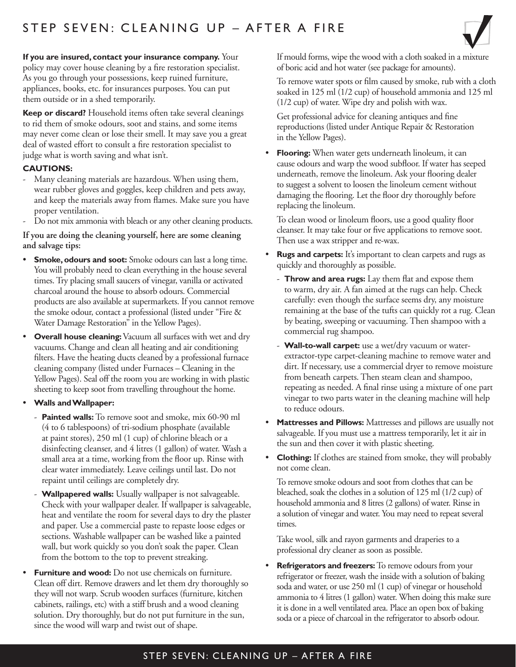## STEP SEVEN: CLEANING UP – AFTER A FIRE



**If you are insured, contact your insurance company.** Your policy may cover house cleaning by a fire restoration specialist. As you go through your possessions, keep ruined furniture, appliances, books, etc. for insurances purposes. You can put them outside or in a shed temporarily.

**Keep or discard?** Household items often take several cleanings to rid them of smoke odours, soot and stains, and some items may never come clean or lose their smell. It may save you a great deal of wasted effort to consult a fire restoration specialist to judge what is worth saving and what isn't.

#### **CAUTIONS:**

- Many cleaning materials are hazardous. When using them, wear rubber gloves and goggles, keep children and pets away, and keep the materials away from flames. Make sure you have proper ventilation.
- Do not mix ammonia with bleach or any other cleaning products.

#### **If you are doing the cleaning yourself, here are some cleaning and salvage tips:**

- **Smoke, odours and soot:** Smoke odours can last a long time. You will probably need to clean everything in the house several times. Try placing small saucers of vinegar, vanilla or activated charcoal around the house to absorb odours. Commercial products are also available at supermarkets. If you cannot remove the smoke odour, contact a professional (listed under "Fire & Water Damage Restoration" in the Yellow Pages).
- **Overall house cleaning:** Vacuum all surfaces with wet and dry vacuums. Change and clean all heating and air conditioning filters. Have the heating ducts cleaned by a professional furnace cleaning company (listed under Furnaces – Cleaning in the Yellow Pages). Seal off the room you are working in with plastic sheeting to keep soot from travelling throughout the home.

#### • **Walls and Wallpaper:**

- **Painted walls:** To remove soot and smoke, mix 60-90 ml (4 to 6 tablespoons) of tri-sodium phosphate (available at paint stores), 250 ml (1 cup) of chlorine bleach or a disinfecting cleanser, and 4 litres (1 gallon) of water. Wash a small area at a time, working from the floor up. Rinse with clear water immediately. Leave ceilings until last. Do not repaint until ceilings are completely dry.
- **Wallpapered walls:** Usually wallpaper is not salvageable. Check with your wallpaper dealer. If wallpaper is salvageable, heat and ventilate the room for several days to dry the plaster and paper. Use a commercial paste to repaste loose edges or sections. Washable wallpaper can be washed like a painted wall, but work quickly so you don't soak the paper. Clean from the bottom to the top to prevent streaking.
- **Furniture and wood:** Do not use chemicals on furniture. Clean off dirt. Remove drawers and let them dry thoroughly so they will not warp. Scrub wooden surfaces (furniture, kitchen cabinets, railings, etc) with a stiff brush and a wood cleaning solution. Dry thoroughly, but do not put furniture in the sun, since the wood will warp and twist out of shape.

 If mould forms, wipe the wood with a cloth soaked in a mixture of boric acid and hot water (see package for amounts).

 To remove water spots or film caused by smoke, rub with a cloth soaked in 125 ml (1/2 cup) of household ammonia and 125 ml (1/2 cup) of water. Wipe dry and polish with wax.

 Get professional advice for cleaning antiques and fine reproductions (listed under Antique Repair & Restoration in the Yellow Pages).

**Flooring:** When water gets underneath linoleum, it can cause odours and warp the wood subfloor. If water has seeped underneath, remove the linoleum. Ask your flooring dealer to suggest a solvent to loosen the linoleum cement without damaging the flooring. Let the floor dry thoroughly before replacing the linoleum.

 To clean wood or linoleum floors, use a good quality floor cleanser. It may take four or five applications to remove soot. Then use a wax stripper and re-wax.

- **Rugs and carpets:** It's important to clean carpets and rugs as quickly and thoroughly as possible.
	- **Throw and area rugs:** Lay them flat and expose them to warm, dry air. A fan aimed at the rugs can help. Check carefully: even though the surface seems dry, any moisture remaining at the base of the tufts can quickly rot a rug. Clean by beating, sweeping or vacuuming. Then shampoo with a commercial rug shampoo.
	- **Wall-to-wall carpet:** use a wet/dry vacuum or waterextractor-type carpet-cleaning machine to remove water and dirt. If necessary, use a commercial dryer to remove moisture from beneath carpets. Then steam clean and shampoo, repeating as needed. A final rinse using a mixture of one part vinegar to two parts water in the cleaning machine will help to reduce odours.
- **Mattresses and Pillows:** Mattresses and pillows are usually not salvageable. If you must use a mattress temporarily, let it air in the sun and then cover it with plastic sheeting.
- **Clothing:** If clothes are stained from smoke, they will probably not come clean.

 To remove smoke odours and soot from clothes that can be bleached, soak the clothes in a solution of 125 ml (1/2 cup) of household ammonia and 8 litres (2 gallons) of water. Rinse in a solution of vinegar and water. You may need to repeat several times.

 Take wool, silk and rayon garments and draperies to a professional dry cleaner as soon as possible.

• **Refrigerators and freezers:** To remove odours from your refrigerator or freezer, wash the inside with a solution of baking soda and water, or use 250 ml (1 cup) of vinegar or household ammonia to 4 litres (1 gallon) water. When doing this make sure it is done in a well ventilated area. Place an open box of baking soda or a piece of charcoal in the refrigerator to absorb odour.

## STEP SEVEN: CLEANING UP – AFTER A FIRE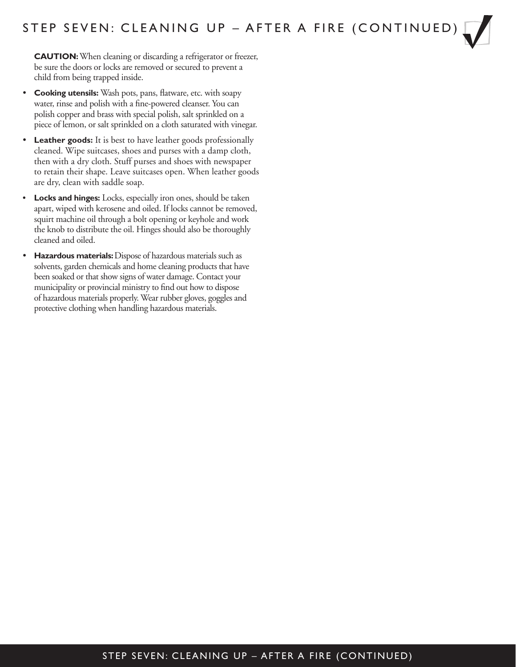**CAUTION:** When cleaning or discarding a refrigerator or freezer, be sure the doors or locks are removed or secured to prevent a child from being trapped inside.

- **Cooking utensils:** Wash pots, pans, flatware, etc. with soapy water, rinse and polish with a fine-powered cleanser. You can polish copper and brass with special polish, salt sprinkled on a piece of lemon, or salt sprinkled on a cloth saturated with vinegar.
- **Leather goods:** It is best to have leather goods professionally cleaned. Wipe suitcases, shoes and purses with a damp cloth, then with a dry cloth. Stuff purses and shoes with newspaper to retain their shape. Leave suitcases open. When leather goods are dry, clean with saddle soap.
- **Locks and hinges:** Locks, especially iron ones, should be taken apart, wiped with kerosene and oiled. If locks cannot be removed, squirt machine oil through a bolt opening or keyhole and work the knob to distribute the oil. Hinges should also be thoroughly cleaned and oiled.
- **Hazardous materials:** Dispose of hazardous materials such as solvents, garden chemicals and home cleaning products that have been soaked or that show signs of water damage. Contact your municipality or provincial ministry to find out how to dispose of hazardous materials properly. Wear rubber gloves, goggles and protective clothing when handling hazardous materials.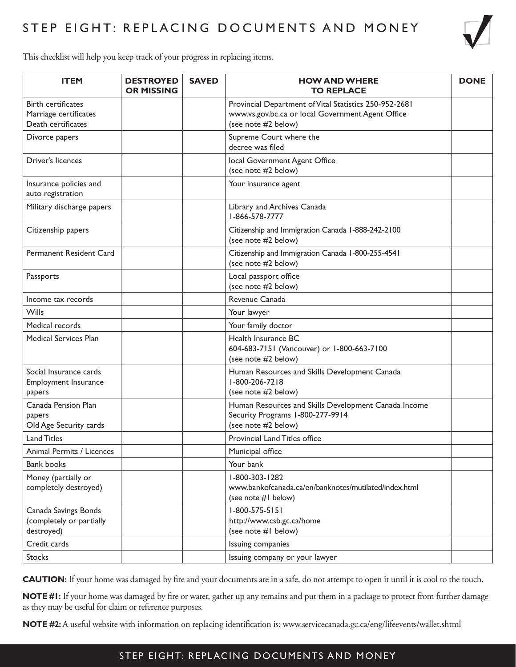

This checklist will help you keep track of your progress in replacing items.

| <b>ITEM</b>                                                              | <b>DESTROYED</b><br><b>OR MISSING</b> | <b>SAVED</b> | <b>HOW AND WHERE</b><br><b>TO REPLACE</b>                                                                                          | <b>DONE</b> |
|--------------------------------------------------------------------------|---------------------------------------|--------------|------------------------------------------------------------------------------------------------------------------------------------|-------------|
| <b>Birth certificates</b><br>Marriage certificates<br>Death certificates |                                       |              | Provincial Department of Vital Statistics 250-952-2681<br>www.vs.gov.bc.ca or local Government Agent Office<br>(see note #2 below) |             |
| Divorce papers                                                           |                                       |              | Supreme Court where the<br>decree was filed                                                                                        |             |
| Driver's licences                                                        |                                       |              | local Government Agent Office<br>(see note #2 below)                                                                               |             |
| Insurance policies and<br>auto registration                              |                                       |              | Your insurance agent                                                                                                               |             |
| Military discharge papers                                                |                                       |              | Library and Archives Canada<br>I-866-578-7777                                                                                      |             |
| Citizenship papers                                                       |                                       |              | Citizenship and Immigration Canada 1-888-242-2100<br>(see note #2 below)                                                           |             |
| Permanent Resident Card                                                  |                                       |              | Citizenship and Immigration Canada 1-800-255-4541<br>(see note #2 below)                                                           |             |
| Passports                                                                |                                       |              | Local passport office<br>(see note #2 below)                                                                                       |             |
| Income tax records                                                       |                                       |              | Revenue Canada                                                                                                                     |             |
| <b>Wills</b>                                                             |                                       |              | Your lawyer                                                                                                                        |             |
| Medical records                                                          |                                       |              | Your family doctor                                                                                                                 |             |
| <b>Medical Services Plan</b>                                             |                                       |              | Health Insurance BC<br>604-683-7151 (Vancouver) or 1-800-663-7100<br>(see note #2 below)                                           |             |
| Social Insurance cards<br>Employment Insurance<br>papers                 |                                       |              | Human Resources and Skills Development Canada<br>1-800-206-7218<br>(see note #2 below)                                             |             |
| Canada Pension Plan<br>papers<br>Old Age Security cards                  |                                       |              | Human Resources and Skills Development Canada Income<br>Security Programs 1-800-277-9914<br>(see note #2 below)                    |             |
| <b>Land Titles</b>                                                       |                                       |              | <b>Provincial Land Titles office</b>                                                                                               |             |
| Animal Permits / Licences                                                |                                       |              | Municipal office                                                                                                                   |             |
| <b>Bank books</b>                                                        |                                       |              | Your bank                                                                                                                          |             |
| Money (partially or<br>completely destroyed)                             |                                       |              | 1-800-303-1282<br>www.bankofcanada.ca/en/banknotes/mutilated/index.html<br>(see note #I below)                                     |             |
| Canada Savings Bonds<br>(completely or partially<br>destroyed)           |                                       |              | $1 - 800 - 575 - 5151$<br>http://www.csb.gc.ca/home<br>(see note #I below)                                                         |             |
| Credit cards                                                             |                                       |              | Issuing companies                                                                                                                  |             |
| <b>Stocks</b>                                                            |                                       |              | Issuing company or your lawyer                                                                                                     |             |

**CAUTION:** If your home was damaged by fire and your documents are in a safe, do not attempt to open it until it is cool to the touch.

**NOTE #1:** If your home was damaged by fire or water, gather up any remains and put them in a package to protect from further damage as they may be useful for claim or reference purposes.

**NOTE #2:** A useful website with information on replacing identification is:<www.servicecanada.gc.ca/eng/lifeevents/wallet.shtml>

#### STEP EIGHT: REPLACING DOCUMENTS AND MONEY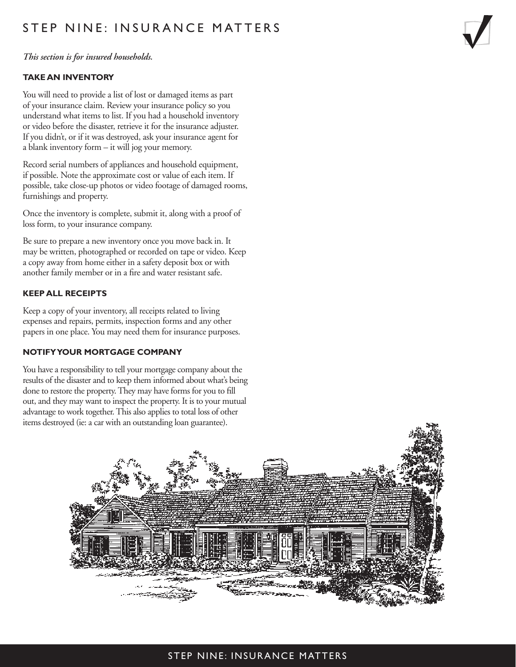## STEP NINE: INSURANCE MATTERS

#### *This section is for insured households.*

#### **TAKE AN INVENTORY**

You will need to provide a list of lost or damaged items as part of your insurance claim. Review your insurance policy so you understand what items to list. If you had a household inventory or video before the disaster, retrieve it for the insurance adjuster. If you didn't, or if it was destroyed, ask your insurance agent for a blank inventory form – it will jog your memory.

Record serial numbers of appliances and household equipment, if possible. Note the approximate cost or value of each item. If possible, take close-up photos or video footage of damaged rooms, furnishings and property.

Once the inventory is complete, submit it, along with a proof of loss form, to your insurance company.

Be sure to prepare a new inventory once you move back in. It may be written, photographed or recorded on tape or video. Keep a copy away from home either in a safety deposit box or with another family member or in a fire and water resistant safe.

#### **KEEP ALL RECEIPTS**

Keep a copy of your inventory, all receipts related to living expenses and repairs, permits, inspection forms and any other papers in one place. You may need them for insurance purposes.

#### **NOTIFY YOUR MORTGAGE COMPANY**

You have a responsibility to tell your mortgage company about the results of the disaster and to keep them informed about what's being done to restore the property. They may have forms for you to fill out, and they may want to inspect the property. It is to your mutual advantage to work together. This also applies to total loss of other items destroyed (ie: a car with an outstanding loan guarantee).



#### STEP NINE: INSURANCE MATTERS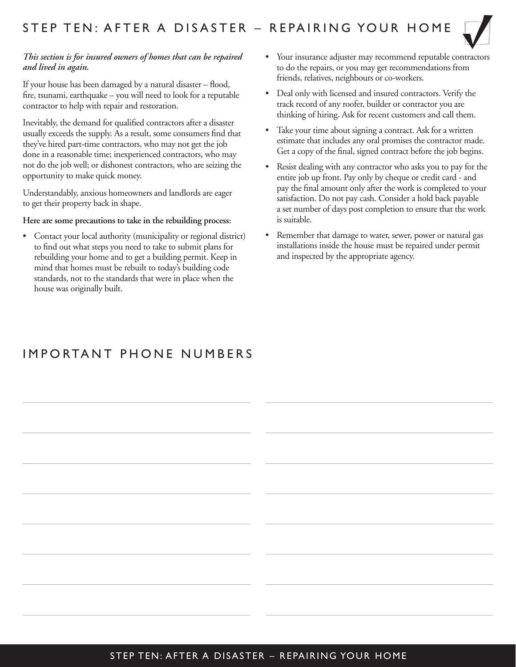

#### *This section is for insured owners of homes that can be repaired and lived in again.*

If your house has been damaged by a natural disaster – flood, fire, tsunami, earthquake – you will need to look for a reputable contractor to help with repair and restoration.

Inevitably, the demand for qualified contractors after a disaster usually exceeds the supply. As a result, some consumers find that they've hired part-time contractors, who may not get the job done in a reasonable time; inexperienced contractors, who may not do the job well; or dishonest contractors, who are seizing the opportunity to make quick money.

Understandably, anxious homeowners and landlords are eager to get their property back in shape.

#### **Here are some precautions to take in the rebuilding process:**

• Contact your local authority (municipality or regional district) to find out what steps you need to take to submit plans for rebuilding your home and to get a building permit. Keep in mind that homes must be rebuilt to today's building code standards, not to the standards that were in place when the house was originally built.

- Your insurance adjuster may recommend reputable contractors to do the repairs, or you may get recommendations from friends, relatives, neighbours or co-workers.
- Deal only with licensed and insured contractors. Verify the track record of any roofer, builder or contractor you are thinking of hiring. Ask for recent customers and call them.
- Take your time about signing a contract. Ask for a written estimate that includes any oral promises the contractor made. Get a copy of the final, signed contract before the job begins.
- Resist dealing with any contractor who asks you to pay for the entire job up front. Pay only by cheque or credit card - and pay the final amount only after the work is completed to your satisfaction. Do not pay cash. Consider a hold back payable a set number of days post completion to ensure that the work is suitable.
- Remember that damage to water, sewer, power or natural gas installations inside the house must be repaired under permit and inspected by the appropriate agency.

## IMPORTANT PHONE NUMBERS